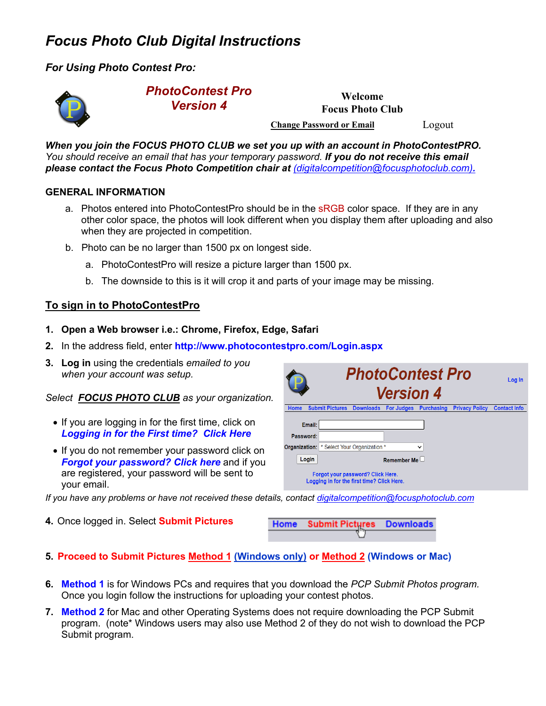# *Focus Photo Club Digital Instructions*

*For Using Photo Contest Pro:* 



## *PhotoContest Pro Version 4*

**Welcome Focus Photo Club Change Password or Email** Logout

*When you join the FOCUS PHOTO CLUB we set you up with an account in PhotoContestPRO. You should receive an email that has your temporary password. If you do not receive this email please contact the Focus Photo Competition chair at (digitalcompetition@focusphotoclub.com).* 

## **GENERAL INFORMATION**

- a. Photos entered into PhotoContestPro should be in the sRGB color space. If they are in any other color space, the photos will look different when you display them after uploading and also when they are projected in competition.
- b. Photo can be no larger than 1500 px on longest side.
	- a. PhotoContestPro will resize a picture larger than 1500 px.
	- b. The downside to this is it will crop it and parts of your image may be missing.

# **To sign in to PhotoContestPro**

- **1. Open a Web browser i.e.: Chrome, Firefox, Edge, Safari**
- **2.** In the address field, enter **http://www.photocontestpro.com/Login.aspx**
- **3. Log in** using the credentials *emailed to you when your account was setup.*

*Select FOCUS PHOTO CLUB as your organization.* 

- If you are logging in for the first time, click on *Logging in for the First time? Click Here*
- If you do not remember your password click on *Forgot your password? Click here* and if you are registered, your password will be sent to your email.

|           | <b>PhotoContest Pro</b><br><b>Version 4</b>                                                                   | Log In              |
|-----------|---------------------------------------------------------------------------------------------------------------|---------------------|
| Home      | <b>Submit Pictures</b><br><b>Downloads</b><br><b>For Judges</b><br><b>Purchasing</b><br><b>Privacy Policy</b> | <b>Contact Info</b> |
| Email:    |                                                                                                               |                     |
| Password: |                                                                                                               |                     |
|           | <b>Organization:</b>   * Select Your Organization *<br>$\checkmark$                                           |                     |
| Login     | Remember Me $\Box$                                                                                            |                     |
|           | Forgot your password? Click Here.<br>Logging in for the first time? Click Here.                               |                     |

*If you have any problems or have not received these details, contact digitalcompetition@focusphotoclub.com*

**4.** Once logged in. Select **Submit Pictures** 

| Home Submit Pictures Downloads |  |
|--------------------------------|--|
|                                |  |

- **5. Proceed to Submit Pictures Method 1 (Windows only) or Method 2 (Windows or Mac)**
- **6. Method 1** is for Windows PCs and requires that you download the *PCP Submit Photos program.* Once you login follow the instructions for uploading your contest photos.
- **7. Method 2** for Mac and other Operating Systems does not require downloading the PCP Submit program. (note\* Windows users may also use Method 2 of they do not wish to download the PCP Submit program.